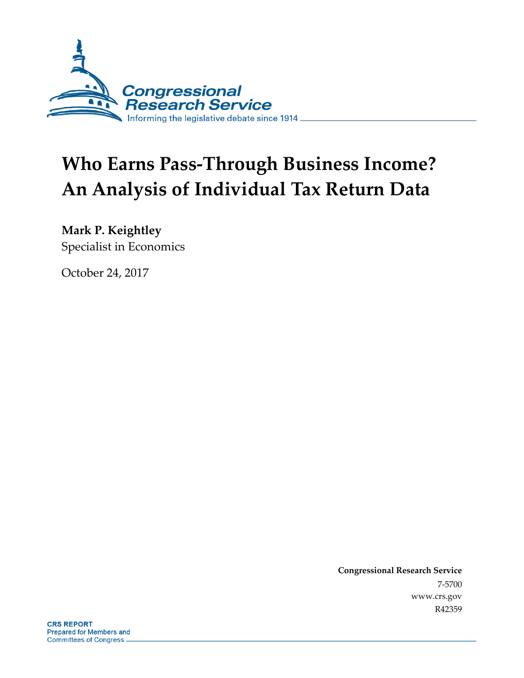

# **Who Earns Pass-Through Business Income? An Analysis of Individual Tax Return Data**

**Mark P. Keightley**

Specialist in Economics

October 24, 2017

**Congressional Research Service** 7-5700 www.crs.gov R42359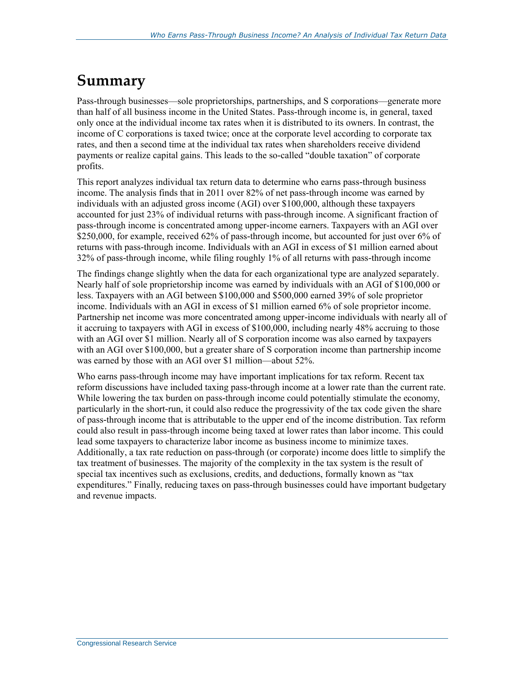# **Summary**

Pass-through businesses—sole proprietorships, partnerships, and S corporations—generate more than half of all business income in the United States. Pass-through income is, in general, taxed only once at the individual income tax rates when it is distributed to its owners. In contrast, the income of C corporations is taxed twice; once at the corporate level according to corporate tax rates, and then a second time at the individual tax rates when shareholders receive dividend payments or realize capital gains. This leads to the so-called "double taxation" of corporate profits.

This report analyzes individual tax return data to determine who earns pass-through business income. The analysis finds that in 2011 over 82% of net pass-through income was earned by individuals with an adjusted gross income (AGI) over \$100,000, although these taxpayers accounted for just 23% of individual returns with pass-through income. A significant fraction of pass-through income is concentrated among upper-income earners. Taxpayers with an AGI over \$250,000, for example, received 62% of pass-through income, but accounted for just over 6% of returns with pass-through income. Individuals with an AGI in excess of \$1 million earned about 32% of pass-through income, while filing roughly 1% of all returns with pass-through income

The findings change slightly when the data for each organizational type are analyzed separately. Nearly half of sole proprietorship income was earned by individuals with an AGI of \$100,000 or less. Taxpayers with an AGI between \$100,000 and \$500,000 earned 39% of sole proprietor income. Individuals with an AGI in excess of \$1 million earned 6% of sole proprietor income. Partnership net income was more concentrated among upper-income individuals with nearly all of it accruing to taxpayers with AGI in excess of \$100,000, including nearly 48% accruing to those with an AGI over \$1 million. Nearly all of S corporation income was also earned by taxpayers with an AGI over \$100,000, but a greater share of S corporation income than partnership income was earned by those with an AGI over \$1 million—about 52%.

Who earns pass-through income may have important implications for tax reform. Recent tax reform discussions have included taxing pass-through income at a lower rate than the current rate. While lowering the tax burden on pass-through income could potentially stimulate the economy, particularly in the short-run, it could also reduce the progressivity of the tax code given the share of pass-through income that is attributable to the upper end of the income distribution. Tax reform could also result in pass-through income being taxed at lower rates than labor income. This could lead some taxpayers to characterize labor income as business income to minimize taxes. Additionally, a tax rate reduction on pass-through (or corporate) income does little to simplify the tax treatment of businesses. The majority of the complexity in the tax system is the result of special tax incentives such as exclusions, credits, and deductions, formally known as "tax expenditures." Finally, reducing taxes on pass-through businesses could have important budgetary and revenue impacts.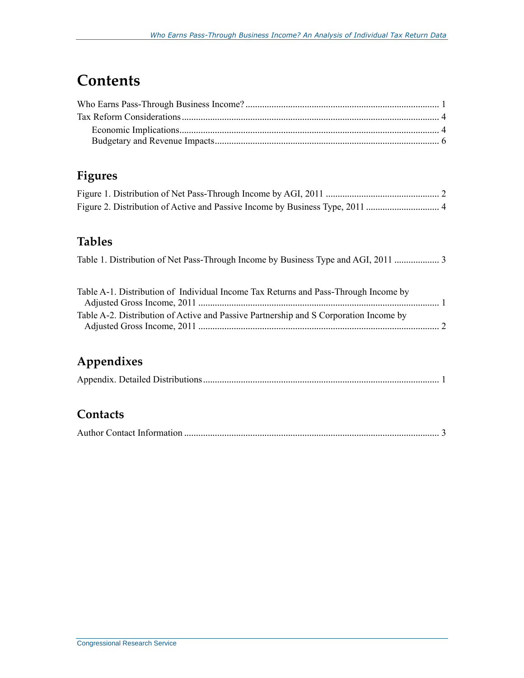# **Contents**

### **Figures**

#### **Tables**

|  | Table 1. Distribution of Net Pass-Through Income by Business Type and AGI, 2011  3 |  |  |  |  |  |
|--|------------------------------------------------------------------------------------|--|--|--|--|--|
|--|------------------------------------------------------------------------------------|--|--|--|--|--|

| Table A-1. Distribution of Individual Income Tax Returns and Pass-Through Income by   |  |
|---------------------------------------------------------------------------------------|--|
|                                                                                       |  |
| Table A-2. Distribution of Active and Passive Partnership and S Corporation Income by |  |
|                                                                                       |  |

### **Appendixes**

#### **Contacts**

|--|--|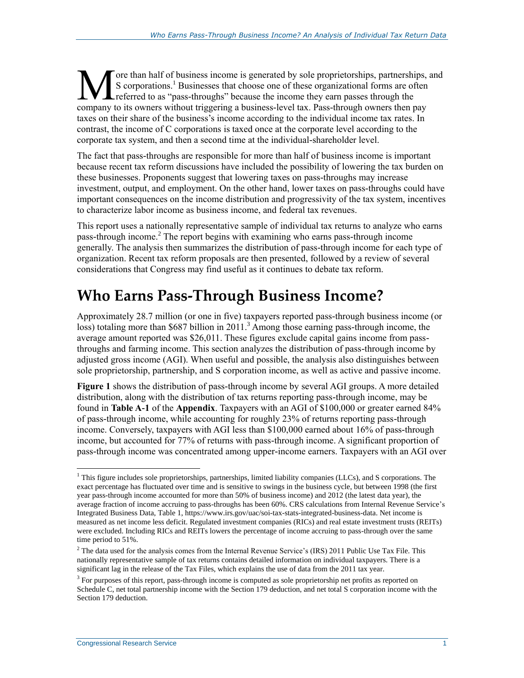ore than half of business income is generated by sole proprietorships, partnerships, and S corporations.<sup>1</sup> Businesses that choose one of these organizational forms are often **L** referred to as "pass-throughs" because the income they earn passes through the The than half of business income is generated by sole proprietorships, partnerships, S corporations.<sup>1</sup> Businesses that choose one of these organizational forms are often referred to as "pass-throughs" because the income t taxes on their share of the business's income according to the individual income tax rates. In contrast, the income of C corporations is taxed once at the corporate level according to the corporate tax system, and then a second time at the individual-shareholder level.

The fact that pass-throughs are responsible for more than half of business income is important because recent tax reform discussions have included the possibility of lowering the tax burden on these businesses. Proponents suggest that lowering taxes on pass-throughs may increase investment, output, and employment. On the other hand, lower taxes on pass-throughs could have important consequences on the income distribution and progressivity of the tax system, incentives to characterize labor income as business income, and federal tax revenues.

This report uses a nationally representative sample of individual tax returns to analyze who earns pass-through income.<sup>2</sup> The report begins with examining who earns pass-through income generally. The analysis then summarizes the distribution of pass-through income for each type of organization. Recent tax reform proposals are then presented, followed by a review of several considerations that Congress may find useful as it continues to debate tax reform.

# **Who Earns Pass-Through Business Income?**

Approximately 28.7 million (or one in five) taxpayers reported pass-through business income (or loss) totaling more than \$687 billion in 2011.<sup>3</sup> Among those earning pass-through income, the average amount reported was \$26,011. These figures exclude capital gains income from passthroughs and farming income. This section analyzes the distribution of pass-through income by adjusted gross income (AGI). When useful and possible, the analysis also distinguishes between sole proprietorship, partnership, and S corporation income, as well as active and passive income.

**[Figure 1](#page-4-0)** shows the distribution of pass-through income by several AGI groups. A more detailed distribution, along with the distribution of tax returns reporting pass-through income, may be found in **[Table A](#page-10-0)-1** of the **[Appendix](#page-10-1)**. Taxpayers with an AGI of \$100,000 or greater earned 84% of pass-through income, while accounting for roughly 23% of returns reporting pass-through income. Conversely, taxpayers with AGI less than \$100,000 earned about 16% of pass-through income, but accounted for 77% of returns with pass-through income. A significant proportion of pass-through income was concentrated among upper-income earners. Taxpayers with an AGI over

 $\overline{a}$  $<sup>1</sup>$  This figure includes sole proprietorships, partnerships, limited liability companies (LLCs), and S corporations. The</sup> exact percentage has fluctuated over time and is sensitive to swings in the business cycle, but between 1998 (the first year pass-through income accounted for more than 50% of business income) and 2012 (the latest data year), the average fraction of income accruing to pass-throughs has been 60%. CRS calculations from Internal Revenue Service's Integrated Business Data, Table 1, https://www.irs.gov/uac/soi-tax-stats-integrated-business-data. Net income is measured as net income less deficit. Regulated investment companies (RICs) and real estate investment trusts (REITs) were excluded. Including RICs and REITs lowers the percentage of income accruing to pass-through over the same time period to 51%.

<sup>&</sup>lt;sup>2</sup> The data used for the analysis comes from the Internal Revenue Service's (IRS) 2011 Public Use Tax File. This nationally representative sample of tax returns contains detailed information on individual taxpayers. There is a significant lag in the release of the Tax Files, which explains the use of data from the 2011 tax year.

<sup>&</sup>lt;sup>3</sup> For purposes of this report, pass-through income is computed as sole proprietorship net profits as reported on Schedule C, net total partnership income with the Section 179 deduction, and net total S corporation income with the Section 179 deduction.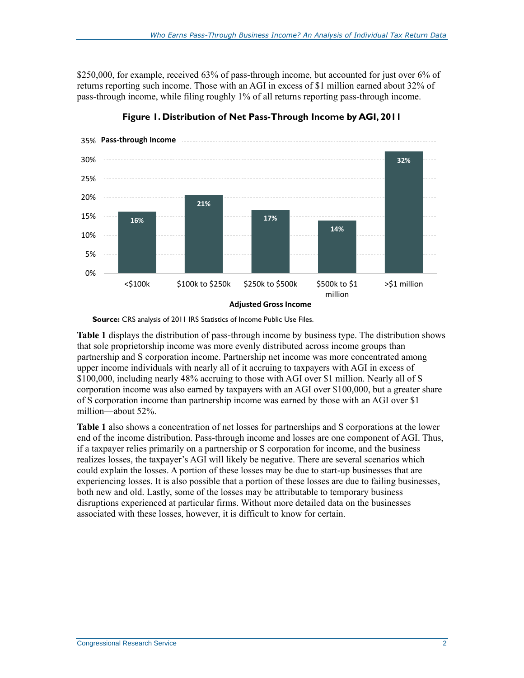\$250,000, for example, received 63% of pass-through income, but accounted for just over 6% of returns reporting such income. Those with an AGI in excess of \$1 million earned about 32% of pass-through income, while filing roughly 1% of all returns reporting pass-through income.

<span id="page-4-0"></span>

**Figure 1. Distribution of Net Pass-Through Income by AGI, 2011**

**Source:** CRS analysis of 2011 IRS Statistics of Income Public Use Files.

**[Table 1](#page-5-0)** displays the distribution of pass-through income by business type. The distribution shows that sole proprietorship income was more evenly distributed across income groups than partnership and S corporation income. Partnership net income was more concentrated among upper income individuals with nearly all of it accruing to taxpayers with AGI in excess of \$100,000, including nearly 48% accruing to those with AGI over \$1 million. Nearly all of S corporation income was also earned by taxpayers with an AGI over \$100,000, but a greater share of S corporation income than partnership income was earned by those with an AGI over \$1 million—about 52%.

**[Table 1](#page-5-0)** also shows a concentration of net losses for partnerships and S corporations at the lower end of the income distribution. Pass-through income and losses are one component of AGI. Thus, if a taxpayer relies primarily on a partnership or S corporation for income, and the business realizes losses, the taxpayer's AGI will likely be negative. There are several scenarios which could explain the losses. A portion of these losses may be due to start-up businesses that are experiencing losses. It is also possible that a portion of these losses are due to failing businesses, both new and old. Lastly, some of the losses may be attributable to temporary business disruptions experienced at particular firms. Without more detailed data on the businesses associated with these losses, however, it is difficult to know for certain.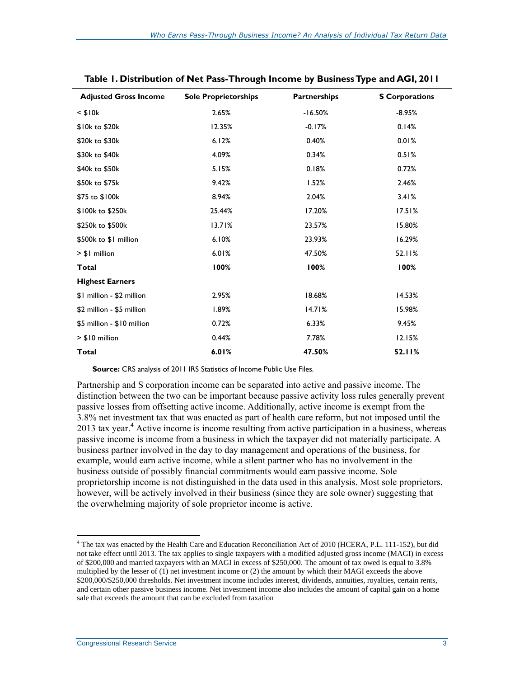| <b>Adjusted Gross Income</b> | <b>Sole Proprietorships</b> | <b>Partnerships</b> | <b>S</b> Corporations |
|------------------------------|-----------------------------|---------------------|-----------------------|
| $<$ \$10 $k$                 | 2.65%                       | $-16.50%$           | $-8.95%$              |
| \$10k to \$20k               | 12.35%                      | $-0.17%$            | 0.14%                 |
| \$20k to \$30k               | 6.12%                       | 0.40%               | 0.01%                 |
| \$30k to \$40k               | 4.09%                       | 0.34%               | 0.51%                 |
| \$40k to \$50k               | 5.15%                       | 0.18%               | 0.72%                 |
| \$50k to \$75k               | 9.42%                       | 1.52%               | 2.46%                 |
| \$75 to \$100k               | 8.94%                       | 2.04%               | 3.41%                 |
| \$100k to \$250k             | 25.44%                      | 17.20%              | 17.51%                |
| \$250k to \$500k             | 13.71%                      | 23.57%              | 15.80%                |
| \$500k to \$1 million        | 6.10%                       | 23.93%              | 16.29%                |
| $> $1$ million               | 6.01%                       | 47.50%              | 52.11%                |
| Total                        | 100%                        | 100%                | 100%                  |
| <b>Highest Earners</b>       |                             |                     |                       |
| \$1 million - \$2 million    | 2.95%                       | 18.68%              | 14.53%                |
| \$2 million - \$5 million    | 1.89%                       | 14.71%              | 15.98%                |
| \$5 million - \$10 million   | 0.72%                       | 6.33%               | 9.45%                 |
| > \$10 million               | 0.44%                       | 7.78%               | 12.15%                |
| <b>Total</b>                 | 6.01%                       | 47.50%              | 52.11%                |

<span id="page-5-0"></span>**Table 1. Distribution of Net Pass-Through Income by Business Type and AGI, 2011**

**Source:** CRS analysis of 2011 IRS Statistics of Income Public Use Files.

Partnership and S corporation income can be separated into active and passive income. The distinction between the two can be important because passive activity loss rules generally prevent passive losses from offsetting active income. Additionally, active income is exempt from the 3.8% net investment tax that was enacted as part of health care reform, but not imposed until the 2013 tax year. <sup>4</sup> Active income is income resulting from active participation in a business, whereas passive income is income from a business in which the taxpayer did not materially participate. A business partner involved in the day to day management and operations of the business, for example, would earn active income, while a silent partner who has no involvement in the business outside of possibly financial commitments would earn passive income. Sole proprietorship income is not distinguished in the data used in this analysis. Most sole proprietors, however, will be actively involved in their business (since they are sole owner) suggesting that the overwhelming majority of sole proprietor income is active.

 $\overline{a}$ 

<sup>4</sup> The tax was enacted by the Health Care and Education Reconciliation Act of 2010 (HCERA, P.L. 111-152), but did not take effect until 2013. The tax applies to single taxpayers with a modified adjusted gross income (MAGI) in excess of \$200,000 and married taxpayers with an MAGI in excess of \$250,000. The amount of tax owed is equal to 3.8% multiplied by the lesser of (1) net investment income or (2) the amount by which their MAGI exceeds the above \$200,000/\$250,000 thresholds. Net investment income includes interest, dividends, annuities, royalties, certain rents, and certain other passive business income. Net investment income also includes the amount of capital gain on a home sale that exceeds the amount that can be excluded from taxation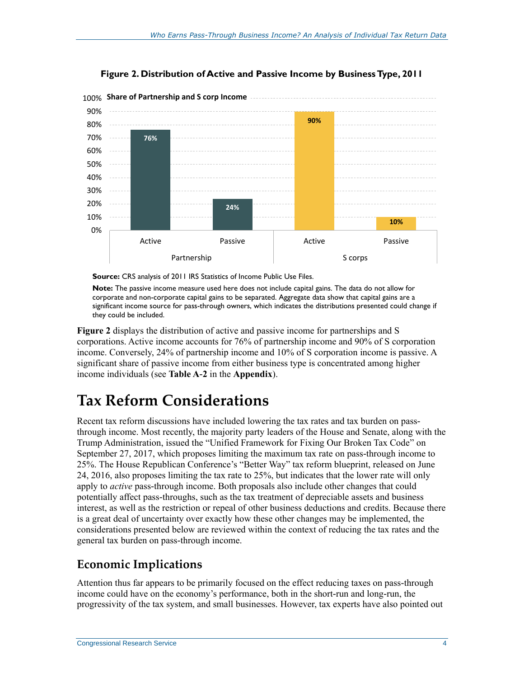<span id="page-6-0"></span>

**Figure 2. Distribution of Active and Passive Income by Business Type, 2011**

**Source:** CRS analysis of 2011 IRS Statistics of Income Public Use Files.

**Note:** The passive income measure used here does not include capital gains. The data do not allow for corporate and non-corporate capital gains to be separated. Aggregate data show that capital gains are a significant income source for pass-through owners, which indicates the distributions presented could change if they could be included.

**[Figure 2](#page-6-0)** displays the distribution of active and passive income for partnerships and S corporations. Active income accounts for 76% of partnership income and 90% of S corporation income. Conversely, 24% of partnership income and 10% of S corporation income is passive. A significant share of passive income from either business type is concentrated among higher income individuals (see **[Table A](#page-11-0)-2** in the **[Appendix](#page-10-1)**).

## **Tax Reform Considerations**

Recent tax reform discussions have included lowering the tax rates and tax burden on passthrough income. Most recently, the majority party leaders of the House and Senate, along with the Trump Administration, issued the "Unified Framework for Fixing Our Broken Tax Code" on September 27, 2017, which proposes limiting the maximum tax rate on pass-through income to 25%. The House Republican Conference's "Better Way" tax reform blueprint, released on June 24, 2016, also proposes limiting the tax rate to 25%, but indicates that the lower rate will only apply to *active* pass-through income. Both proposals also include other changes that could potentially affect pass-throughs, such as the tax treatment of depreciable assets and business interest, as well as the restriction or repeal of other business deductions and credits. Because there is a great deal of uncertainty over exactly how these other changes may be implemented, the considerations presented below are reviewed within the context of reducing the tax rates and the general tax burden on pass-through income.

#### **Economic Implications**

Attention thus far appears to be primarily focused on the effect reducing taxes on pass-through income could have on the economy's performance, both in the short-run and long-run, the progressivity of the tax system, and small businesses. However, tax experts have also pointed out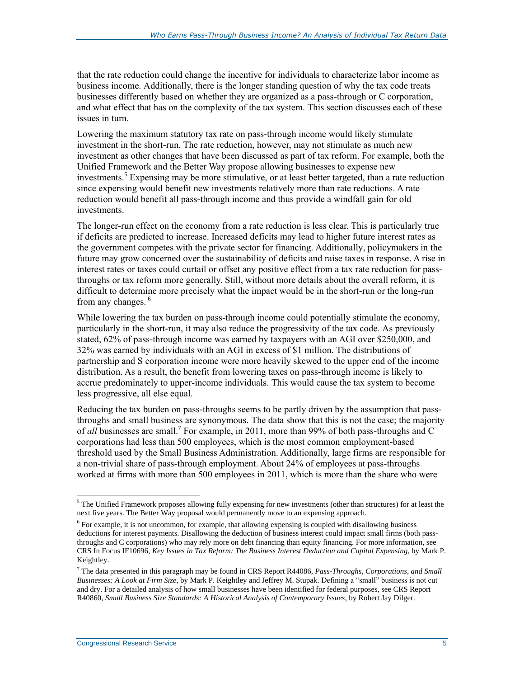that the rate reduction could change the incentive for individuals to characterize labor income as business income. Additionally, there is the longer standing question of why the tax code treats businesses differently based on whether they are organized as a pass-through or C corporation, and what effect that has on the complexity of the tax system. This section discusses each of these issues in turn.

Lowering the maximum statutory tax rate on pass-through income would likely stimulate investment in the short-run. The rate reduction, however, may not stimulate as much new investment as other changes that have been discussed as part of tax reform. For example, both the Unified Framework and the Better Way propose allowing businesses to expense new investments.<sup>5</sup> Expensing may be more stimulative, or at least better targeted, than a rate reduction since expensing would benefit new investments relatively more than rate reductions. A rate reduction would benefit all pass-through income and thus provide a windfall gain for old investments.

The longer-run effect on the economy from a rate reduction is less clear. This is particularly true if deficits are predicted to increase. Increased deficits may lead to higher future interest rates as the government competes with the private sector for financing. Additionally, policymakers in the future may grow concerned over the sustainability of deficits and raise taxes in response. A rise in interest rates or taxes could curtail or offset any positive effect from a tax rate reduction for passthroughs or tax reform more generally. Still, without more details about the overall reform, it is difficult to determine more precisely what the impact would be in the short-run or the long-run from any changes. <sup>6</sup>

While lowering the tax burden on pass-through income could potentially stimulate the economy, particularly in the short-run, it may also reduce the progressivity of the tax code. As previously stated, 62% of pass-through income was earned by taxpayers with an AGI over \$250,000, and 32% was earned by individuals with an AGI in excess of \$1 million. The distributions of partnership and S corporation income were more heavily skewed to the upper end of the income distribution. As a result, the benefit from lowering taxes on pass-through income is likely to accrue predominately to upper-income individuals. This would cause the tax system to become less progressive, all else equal.

Reducing the tax burden on pass-throughs seems to be partly driven by the assumption that passthroughs and small business are synonymous. The data show that this is not the case; the majority of *all* businesses are small. 7 For example, in 2011, more than 99% of both pass-throughs and C corporations had less than 500 employees, which is the most common employment-based threshold used by the Small Business Administration. Additionally, large firms are responsible for a non-trivial share of pass-through employment. About 24% of employees at pass-throughs worked at firms with more than 500 employees in 2011, which is more than the share who were

 $\overline{a}$ 

 $5$  The Unified Framework proposes allowing fully expensing for new investments (other than structures) for at least the next five years. The Better Way proposal would permanently move to an expensing approach.

<sup>&</sup>lt;sup>6</sup> For example, it is not uncommon, for example, that allowing expensing is coupled with disallowing business deductions for interest payments. Disallowing the deduction of business interest could impact small firms (both passthroughs and C corporations) who may rely more on debt financing than equity financing. For more information, see CRS In Focus IF10696, *Key Issues in Tax Reform: The Business Interest Deduction and Capital Expensing*, by Mark P. Keightley.

<sup>7</sup> The data presented in this paragraph may be found in CRS Report R44086, *Pass-Throughs, Corporations, and Small Businesses: A Look at Firm Size*, by Mark P. Keightley and Jeffrey M. Stupak. Defining a "small" business is not cut and dry. For a detailed analysis of how small businesses have been identified for federal purposes, see CRS Report R40860, *Small Business Size Standards: A Historical Analysis of Contemporary Issues*, by Robert Jay Dilger.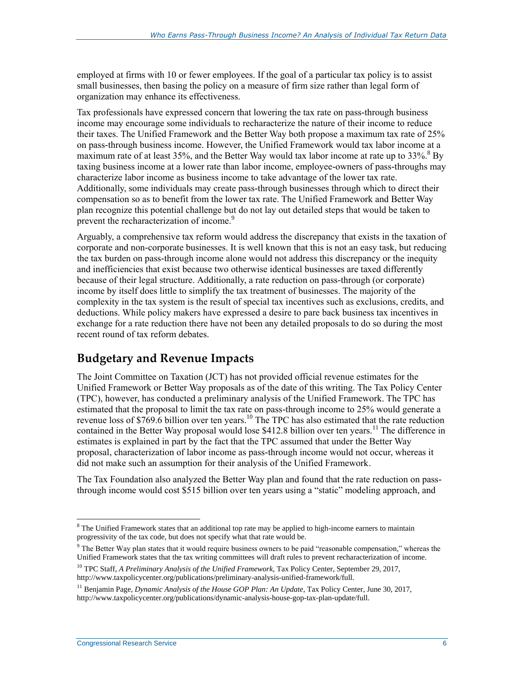employed at firms with 10 or fewer employees. If the goal of a particular tax policy is to assist small businesses, then basing the policy on a measure of firm size rather than legal form of organization may enhance its effectiveness.

Tax professionals have expressed concern that lowering the tax rate on pass-through business income may encourage some individuals to recharacterize the nature of their income to reduce their taxes. The Unified Framework and the Better Way both propose a maximum tax rate of 25% on pass-through business income. However, the Unified Framework would tax labor income at a maximum rate of at least 35%, and the Better Way would tax labor income at rate up to  $33\%$ .<sup>8</sup> By taxing business income at a lower rate than labor income, employee-owners of pass-throughs may characterize labor income as business income to take advantage of the lower tax rate. Additionally, some individuals may create pass-through businesses through which to direct their compensation so as to benefit from the lower tax rate. The Unified Framework and Better Way plan recognize this potential challenge but do not lay out detailed steps that would be taken to prevent the recharacterization of income.<sup>9</sup>

Arguably, a comprehensive tax reform would address the discrepancy that exists in the taxation of corporate and non-corporate businesses. It is well known that this is not an easy task, but reducing the tax burden on pass-through income alone would not address this discrepancy or the inequity and inefficiencies that exist because two otherwise identical businesses are taxed differently because of their legal structure. Additionally, a rate reduction on pass-through (or corporate) income by itself does little to simplify the tax treatment of businesses. The majority of the complexity in the tax system is the result of special tax incentives such as exclusions, credits, and deductions. While policy makers have expressed a desire to pare back business tax incentives in exchange for a rate reduction there have not been any detailed proposals to do so during the most recent round of tax reform debates.

#### **Budgetary and Revenue Impacts**

The Joint Committee on Taxation (JCT) has not provided official revenue estimates for the Unified Framework or Better Way proposals as of the date of this writing. The Tax Policy Center (TPC), however, has conducted a preliminary analysis of the Unified Framework. The TPC has estimated that the proposal to limit the tax rate on pass-through income to 25% would generate a revenue loss of \$769.6 billion over ten years.<sup>10</sup> The TPC has also estimated that the rate reduction contained in the Better Way proposal would lose \$412.8 billion over ten years.<sup>11</sup> The difference in estimates is explained in part by the fact that the TPC assumed that under the Better Way proposal, characterization of labor income as pass-through income would not occur, whereas it did not make such an assumption for their analysis of the Unified Framework.

The Tax Foundation also analyzed the Better Way plan and found that the rate reduction on passthrough income would cost \$515 billion over ten years using a "static" modeling approach, and

 $\overline{a}$  $8$  The Unified Framework states that an additional top rate may be applied to high-income earners to maintain progressivity of the tax code, but does not specify what that rate would be.

 $9$  The Better Way plan states that it would require business owners to be paid "reasonable compensation," whereas the Unified Framework states that the tax writing committees will draft rules to prevent recharacterization of income.

<sup>10</sup> TPC Staff, *A Preliminary Analysis of the Unified Framework*, Tax Policy Center, September 29, 2017, http://www.taxpolicycenter.org/publications/preliminary-analysis-unified-framework/full.

<sup>&</sup>lt;sup>11</sup> Benjamin Page, *Dynamic Analysis of the House GOP Plan: An Update*, Tax Policy Center, June 30, 2017, http://www.taxpolicycenter.org/publications/dynamic-analysis-house-gop-tax-plan-update/full.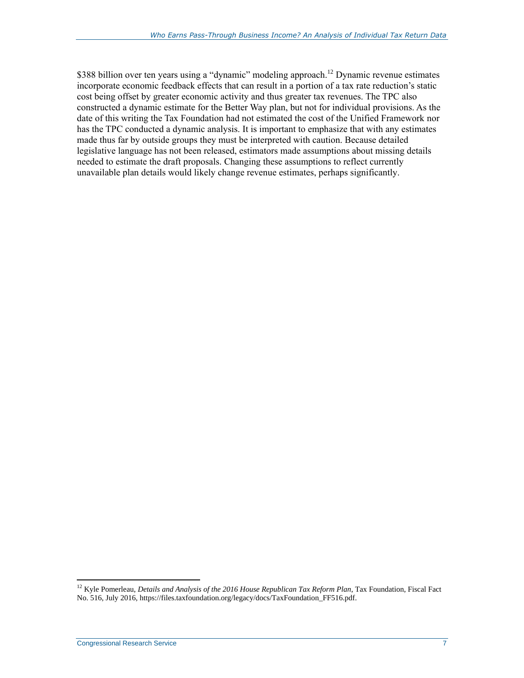\$388 billion over ten years using a "dynamic" modeling approach.<sup>12</sup> Dynamic revenue estimates incorporate economic feedback effects that can result in a portion of a tax rate reduction's static cost being offset by greater economic activity and thus greater tax revenues. The TPC also constructed a dynamic estimate for the Better Way plan, but not for individual provisions. As the date of this writing the Tax Foundation had not estimated the cost of the Unified Framework nor has the TPC conducted a dynamic analysis. It is important to emphasize that with any estimates made thus far by outside groups they must be interpreted with caution. Because detailed legislative language has not been released, estimators made assumptions about missing details needed to estimate the draft proposals. Changing these assumptions to reflect currently unavailable plan details would likely change revenue estimates, perhaps significantly.

 $\overline{a}$ 

<sup>12</sup> Kyle Pomerleau, *Details and Analysis of the 2016 House Republican Tax Reform Plan*, Tax Foundation, Fiscal Fact No. 516, July 2016, https://files.taxfoundation.org/legacy/docs/TaxFoundation\_FF516.pdf.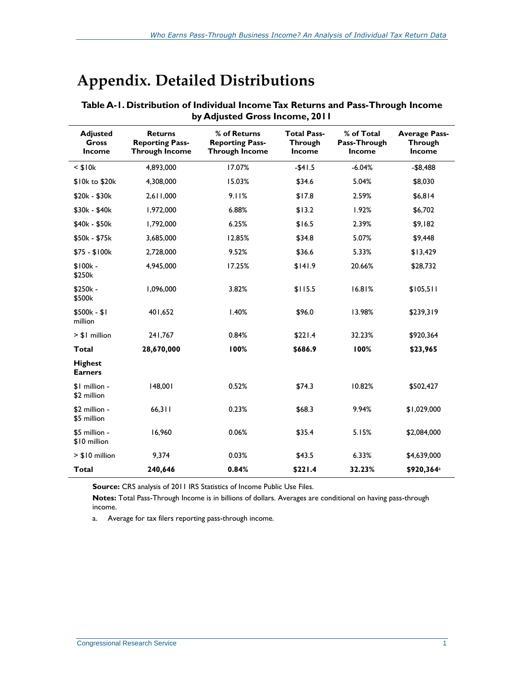# <span id="page-10-1"></span>**Appendix. Detailed Distributions**

| <b>Adjusted</b><br>Gross<br><b>Income</b> | <b>Returns</b><br><b>Reporting Pass-</b><br><b>Through Income</b> | % of Returns<br><b>Reporting Pass-</b><br><b>Through Income</b> | <b>Total Pass-</b><br><b>Through</b><br><b>Income</b> | % of Total<br>Pass-Through<br><b>Income</b> | <b>Average Pass-</b><br><b>Through</b><br><b>Income</b> |
|-------------------------------------------|-------------------------------------------------------------------|-----------------------------------------------------------------|-------------------------------------------------------|---------------------------------------------|---------------------------------------------------------|
| $<$ \$10 $k$                              | 4,893,000                                                         | 17.07%                                                          | $-$41.5$                                              | $-6.04%$                                    | $-$ \$8,488                                             |
| \$10k to \$20k                            | 4,308,000                                                         | 15.03%                                                          | \$34.6                                                | 5.04%                                       | \$8,030                                                 |
| \$20k - \$30k                             | 2,611,000                                                         | 9.11%                                                           | \$17.8                                                | 2.59%                                       | \$6,814                                                 |
| \$30k - \$40k                             | 1,972,000                                                         | 6.88%                                                           | \$13.2                                                | 1.92%                                       | \$6,702                                                 |
| \$40k - \$50k                             | 1,792,000                                                         | 6.25%                                                           | \$16.5                                                | 2.39%                                       | \$9,182                                                 |
| \$50k - \$75k                             | 3,685,000                                                         | 12.85%                                                          | \$34.8                                                | 5.07%                                       | \$9,448                                                 |
| \$75 - \$100k                             | 2,728,000                                                         | 9.52%                                                           | \$36.6                                                | 5.33%                                       | \$13,429                                                |
| \$100k-<br>\$250k                         | 4,945,000                                                         | 17.25%                                                          | \$141.9                                               | 20.66%                                      | \$28,732                                                |
| \$250k -<br>\$500k                        | 1,096,000                                                         | 3.82%                                                           | \$115.5                                               | 16.81%                                      | \$105,511                                               |
| \$500k - \$1<br>million                   | 401,652                                                           | 1.40%                                                           | \$96.0                                                | 13.98%                                      | \$239,319                                               |
| > \$1 million                             | 241,767                                                           | 0.84%                                                           | \$221.4                                               | 32.23%                                      | \$920,364                                               |
| <b>Total</b>                              | 28,670,000                                                        | 100%                                                            | \$686.9                                               | 100%                                        | \$23,965                                                |
| <b>Highest</b><br><b>Earners</b>          |                                                                   |                                                                 |                                                       |                                             |                                                         |
| \$1 million -<br>\$2 million              | 148,001                                                           | 0.52%                                                           | \$74.3                                                | 10.82%                                      | \$502,427                                               |
| \$2 million -<br>\$5 million              | 66,311                                                            | 0.23%                                                           | \$68.3                                                | 9.94%                                       | \$1,029,000                                             |
| \$5 million -<br>\$10 million             | 16,960                                                            | 0.06%                                                           | \$35.4                                                | 5.15%                                       | \$2,084,000                                             |
| > \$10 million                            | 9,374                                                             | 0.03%                                                           | \$43.5                                                | 6.33%                                       | \$4,639,000                                             |
| <b>Total</b>                              | 240,646                                                           | 0.84%                                                           | \$221.4                                               | 32.23%                                      | \$920,364 <sup>a</sup>                                  |

<span id="page-10-0"></span>**Table A-1. Distribution of Individual Income Tax Returns and Pass-Through Income by Adjusted Gross Income, 2011**

**Source:** CRS analysis of 2011 IRS Statistics of Income Public Use Files.

**Notes:** Total Pass-Through Income is in billions of dollars. Averages are conditional on having pass-through income.

<span id="page-10-2"></span>a. Average for tax filers reporting pass-through income.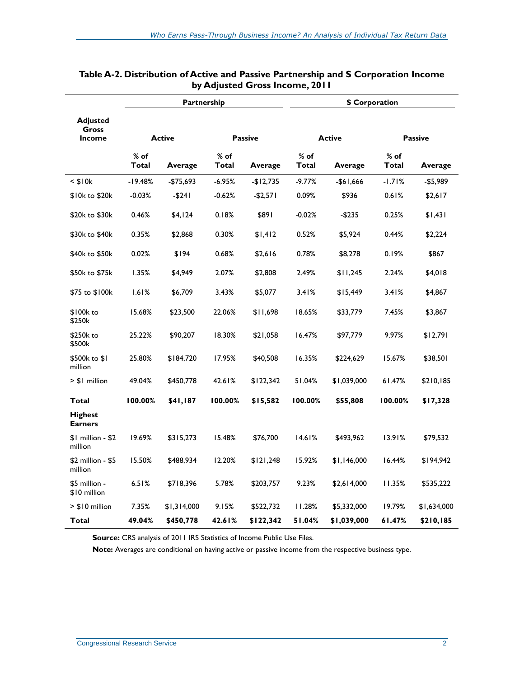|                                           |                 | Partnership |                 |            | <b>S</b> Corporation |             |                 |             |  |
|-------------------------------------------|-----------------|-------------|-----------------|------------|----------------------|-------------|-----------------|-------------|--|
| <b>Adjusted</b><br>Gross<br><b>Income</b> | <b>Active</b>   |             | <b>Passive</b>  |            | <b>Active</b>        |             | <b>Passive</b>  |             |  |
|                                           | $%$ of<br>Total | Average     | $%$ of<br>Total | Average    | $%$ of<br>Total      | Average     | $%$ of<br>Total | Average     |  |
| $<$ \$10 $k$                              | $-19.48%$       | -\$75,693   | $-6.95%$        | $-$12,735$ | $-9.77%$             | -\$61,666   | $-1.71%$        | -\$5,989    |  |
| \$10k to \$20k                            | $-0.03%$        | $-5241$     | $-0.62%$        | $-$2,571$  | 0.09%                | \$936       | 0.61%           | \$2,617     |  |
| \$20k to \$30k                            | 0.46%           | \$4,124     | 0.18%           | \$891      | $-0.02%$             | -\$235      | 0.25%           | \$1,431     |  |
| \$30k to \$40k                            | 0.35%           | \$2,868     | 0.30%           | \$1,412    | 0.52%                | \$5,924     | 0.44%           | \$2,224     |  |
| \$40k to \$50k                            | 0.02%           | \$194       | 0.68%           | \$2,616    | 0.78%                | \$8,278     | 0.19%           | \$867       |  |
| \$50k to \$75k                            | 1.35%           | \$4,949     | 2.07%           | \$2,808    | 2.49%                | \$11,245    | 2.24%           | \$4,018     |  |
| \$75 to \$100k                            | 1.61%           | \$6,709     | 3.43%           | \$5,077    | 3.41%                | \$15,449    | 3.41%           | \$4,867     |  |
| \$100k to<br>\$250k                       | 15.68%          | \$23,500    | 22.06%          | \$11,698   | 18.65%               | \$33,779    | 7.45%           | \$3,867     |  |
| \$250k to<br>\$500k                       | 25.22%          | \$90,207    | 18.30%          | \$21,058   | 16.47%               | \$97,779    | 9.97%           | \$12,791    |  |
| \$500k to \$1<br>million                  | 25.80%          | \$184,720   | 17.95%          | \$40,508   | 16.35%               | \$224,629   | 15.67%          | \$38,501    |  |
| > \$1 million                             | 49.04%          | \$450,778   | 42.61%          | \$122,342  | 51.04%               | \$1,039,000 | 61.47%          | \$210,185   |  |
| Total                                     | 100.00%         | \$41,187    | 100.00%         | \$15,582   | 100.00%              | \$55,808    | 100.00%         | \$17,328    |  |
| <b>Highest</b><br><b>Earners</b>          |                 |             |                 |            |                      |             |                 |             |  |
| $$1$ million - $$2$<br>million            | 19.69%          | \$315,273   | 15.48%          | \$76,700   | 14.61%               | \$493,962   | 13.91%          | \$79,532    |  |
| \$2 million - \$5<br>million              | 15.50%          | \$488,934   | 12.20%          | \$121,248  | 15.92%               | \$1,146,000 | 16.44%          | \$194,942   |  |
| \$5 million -<br>\$10 million             | 6.51%           | \$718,396   | 5.78%           | \$203,757  | 9.23%                | \$2,614,000 | 11.35%          | \$535,222   |  |
| > \$10 million                            | 7.35%           | \$1,314,000 | 9.15%           | \$522,732  | 11.28%               | \$5,332,000 | 19.79%          | \$1,634,000 |  |
| Total                                     | 49.04%          | \$450,778   | 42.61%          | \$122,342  | 51.04%               | \$1,039,000 | 61.47%          | \$210,185   |  |

#### <span id="page-11-0"></span>**Table A-2. Distribution of Active and Passive Partnership and S Corporation Income by Adjusted Gross Income, 2011**

**Source:** CRS analysis of 2011 IRS Statistics of Income Public Use Files.

**Note:** Averages are conditional on having active or passive income from the respective business type.